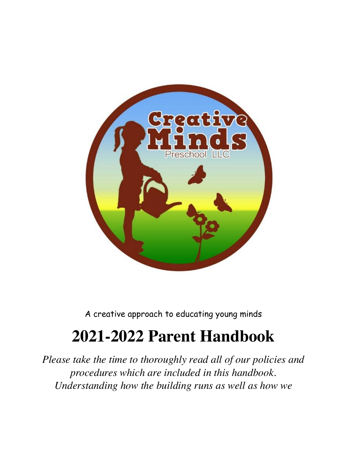

A creative approach to educating young minds

# **2021-2022 Parent Handbook**

*Please take the time to thoroughly read all of our policies and procedures which are included in this handbook. Understanding how the building runs as well as how we*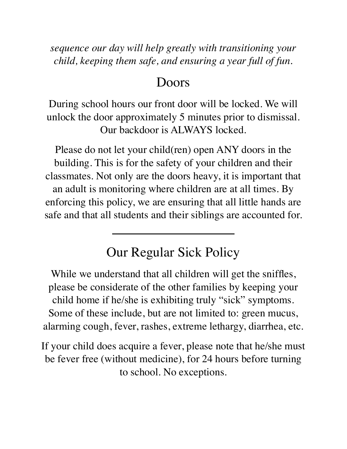*sequence our day will help greatly with transitioning your child, keeping them safe, and ensuring a year full of fun.* 

#### Doors

During school hours our front door will be locked. We will unlock the door approximately 5 minutes prior to dismissal. Our backdoor is ALWAYS locked.

Please do not let your child(ren) open ANY doors in the building. This is for the safety of your children and their classmates. Not only are the doors heavy, it is important that an adult is monitoring where children are at all times. By enforcing this policy, we are ensuring that all little hands are safe and that all students and their siblings are accounted for.

### Our Regular Sick Policy

While we understand that all children will get the sniffles, please be considerate of the other families by keeping your child home if he/she is exhibiting truly "sick" symptoms. Some of these include, but are not limited to: green mucus, alarming cough, fever, rashes, extreme lethargy, diarrhea, etc.

If your child does acquire a fever, please note that he/she must be fever free (without medicine), for 24 hours before turning to school. No exceptions.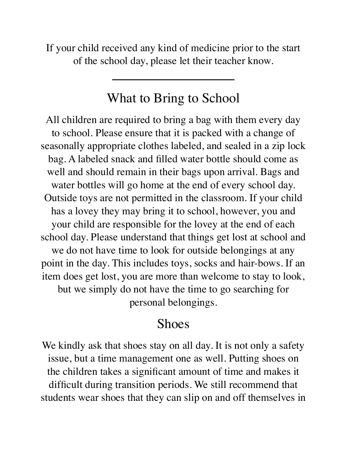If your child received any kind of medicine prior to the start of the school day, please let their teacher know.

### What to Bring to School

All children are required to bring a bag with them every day to school. Please ensure that it is packed with a change of seasonally appropriate clothes labeled, and sealed in a zip lock bag. A labeled snack and filled water bottle should come as well and should remain in their bags upon arrival. Bags and water bottles will go home at the end of every school day. Outside toys are not permitted in the classroom. If your child has a lovey they may bring it to school, however, you and your child are responsible for the lovey at the end of each school day. Please understand that things get lost at school and we do not have time to look for outside belongings at any point in the day. This includes toys, socks and hair-bows. If an item does get lost, you are more than welcome to stay to look, but we simply do not have the time to go searching for personal belongings.

### Shoes

We kindly ask that shoes stay on all day. It is not only a safety issue, but a time management one as well. Putting shoes on the children takes a significant amount of time and makes it difficult during transition periods. We still recommend that students wear shoes that they can slip on and off themselves in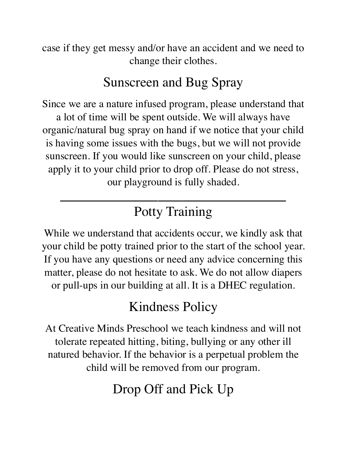case if they get messy and/or have an accident and we need to change their clothes.

### Sunscreen and Bug Spray

Since we are a nature infused program, please understand that a lot of time will be spent outside. We will always have organic/natural bug spray on hand if we notice that your child is having some issues with the bugs, but we will not provide sunscreen. If you would like sunscreen on your child, please apply it to your child prior to drop off. Please do not stress, our playground is fully shaded.

## Potty Training

While we understand that accidents occur, we kindly ask that your child be potty trained prior to the start of the school year. If you have any questions or need any advice concerning this matter, please do not hesitate to ask. We do not allow diapers or pull-ups in our building at all. It is a DHEC regulation.

## Kindness Policy

At Creative Minds Preschool we teach kindness and will not tolerate repeated hitting, biting, bullying or any other ill natured behavior. If the behavior is a perpetual problem the child will be removed from our program.

## Drop Off and Pick Up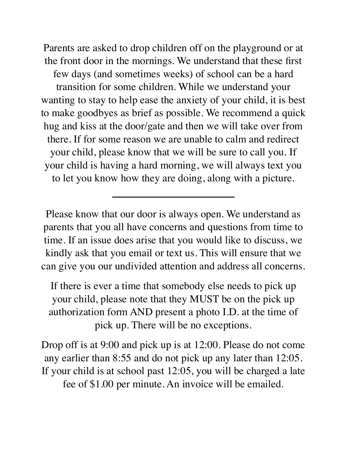Parents are asked to drop children off on the playground or at the front door in the mornings. We understand that these first few days (and sometimes weeks) of school can be a hard transition for some children. While we understand your wanting to stay to help ease the anxiety of your child, it is best to make goodbyes as brief as possible. We recommend a quick hug and kiss at the door/gate and then we will take over from there. If for some reason we are unable to calm and redirect your child, please know that we will be sure to call you. If your child is having a hard morning, we will always text you to let you know how they are doing, along with a picture.

Please know that our door is always open. We understand as parents that you all have concerns and questions from time to time. If an issue does arise that you would like to discuss, we kindly ask that you email or text us. This will ensure that we can give you our undivided attention and address all concerns.

If there is ever a time that somebody else needs to pick up your child, please note that they MUST be on the pick up authorization form AND present a photo I.D. at the time of pick up. There will be no exceptions.

Drop off is at 9:00 and pick up is at 12:00. Please do not come any earlier than 8:55 and do not pick up any later than 12:05. If your child is at school past 12:05, you will be charged a late fee of \$1.00 per minute. An invoice will be emailed.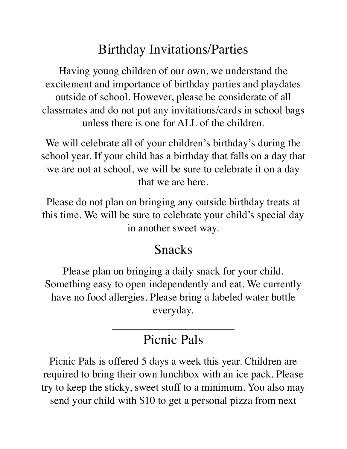## Birthday Invitations/Parties

Having young children of our own, we understand the excitement and importance of birthday parties and playdates outside of school. However, please be considerate of all classmates and do not put any invitations/cards in school bags unless there is one for ALL of the children.

We will celebrate all of your children's birthday's during the school year. If your child has a birthday that falls on a day that we are not at school, we will be sure to celebrate it on a day that we are here.

Please do not plan on bringing any outside birthday treats at this time. We will be sure to celebrate your child's special day in another sweet way.

### Snacks

Please plan on bringing a daily snack for your child. Something easy to open independently and eat. We currently have no food allergies. Please bring a labeled water bottle everyday.

### Picnic Pals

Picnic Pals is offered 5 days a week this year. Children are required to bring their own lunchbox with an ice pack. Please try to keep the sticky, sweet stuff to a minimum. You also may send your child with \$10 to get a personal pizza from next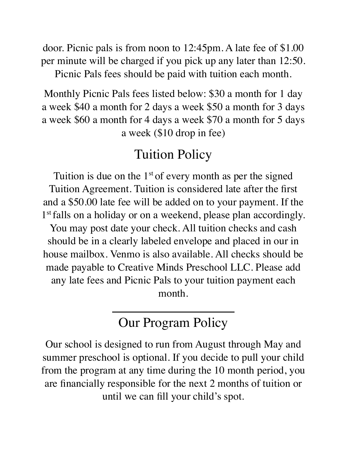door. Picnic pals is from noon to 12:45pm. A late fee of \$1.00 per minute will be charged if you pick up any later than 12:50.

Picnic Pals fees should be paid with tuition each month.

Monthly Picnic Pals fees listed below: \$30 a month for 1 day a week \$40 a month for 2 days a week \$50 a month for 3 days a week \$60 a month for 4 days a week \$70 a month for 5 days a week (\$10 drop in fee)

#### Tuition Policy

Tuition is due on the  $1<sup>st</sup>$  of every month as per the signed Tuition Agreement. Tuition is considered late after the first and a \$50.00 late fee will be added on to your payment. If the 1<sup>st</sup> falls on a holiday or on a weekend, please plan accordingly. You may post date your check. All tuition checks and cash should be in a clearly labeled envelope and placed in our in house mailbox. Venmo is also available. All checks should be made payable to Creative Minds Preschool LLC. Please add any late fees and Picnic Pals to your tuition payment each month.

## Our Program Policy

Our school is designed to run from August through May and summer preschool is optional. If you decide to pull your child from the program at any time during the 10 month period, you are financially responsible for the next 2 months of tuition or until we can fill your child's spot.